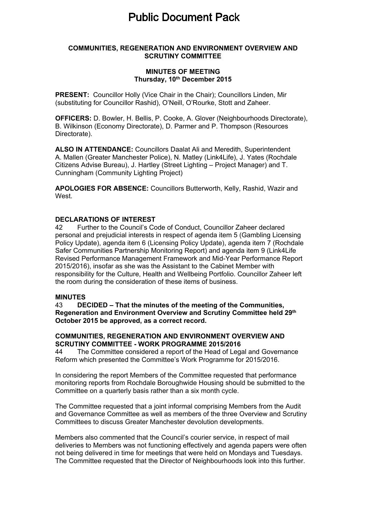# **Public Document Pack**

## **COMMUNITIES, REGENERATION AND ENVIRONMENT OVERVIEW AND SCRUTINY COMMITTEE**

## **MINUTES OF MEETING Thursday, 10th December 2015**

**PRESENT:** Councillor Holly (Vice Chair in the Chair); Councillors Linden, Mir (substituting for Councillor Rashid), O'Neill, O'Rourke, Stott and Zaheer.

**OFFICERS:** D. Bowler, H. Bellis, P. Cooke, A. Glover (Neighbourhoods Directorate), B. Wilkinson (Economy Directorate), D. Parmer and P. Thompson (Resources Directorate).

**ALSO IN ATTENDANCE:** Councillors Daalat Ali and Meredith, Superintendent A. Mallen (Greater Manchester Police), N. Matley (Link4Life), J. Yates (Rochdale Citizens Advise Bureau), J. Hartley (Street Lighting – Project Manager) and T. Cunningham (Community Lighting Project)

**APOLOGIES FOR ABSENCE:** Councillors Butterworth, Kelly, Rashid, Wazir and West.

## **DECLARATIONS OF INTEREST**

42 Further to the Council's Code of Conduct, Councillor Zaheer declared personal and prejudicial interests in respect of agenda item 5 (Gambling Licensing Policy Update), agenda item 6 (Licensing Policy Update), agenda item 7 (Rochdale Safer Communities Partnership Monitoring Report) and agenda item 9 (Link4Life Revised Performance Management Framework and Mid-Year Performance Report 2015/2016), insofar as she was the Assistant to the Cabinet Member with responsibility for the Culture, Health and Wellbeing Portfolio. Councillor Zaheer left the room during the consideration of these items of business.

#### **MINUTES**

43 **DECIDED – That the minutes of the meeting of the Communities, Regeneration and Environment Overview and Scrutiny Committee held 29th October 2015 be approved, as a correct record.**

#### **COMMUNITIES, REGENERATION AND ENVIRONMENT OVERVIEW AND SCRUTINY COMMITTEE - WORK PROGRAMME 2015/2016**

44 The Committee considered a report of the Head of Legal and Governance Reform which presented the Committee's Work Programme for 2015/2016.

In considering the report Members of the Committee requested that performance monitoring reports from Rochdale Boroughwide Housing should be submitted to the Committee on a quarterly basis rather than a six month cycle.

The Committee requested that a joint informal comprising Members from the Audit and Governance Committee as well as members of the three Overview and Scrutiny Committees to discuss Greater Manchester devolution developments.

Members also commented that the Council's courier service, in respect of mail deliveries to Members was not functioning effectively and agenda papers were often not being delivered in time for meetings that were held on Mondays and Tuesdays. The Committee requested that the Director of Neighbourhoods look into this further.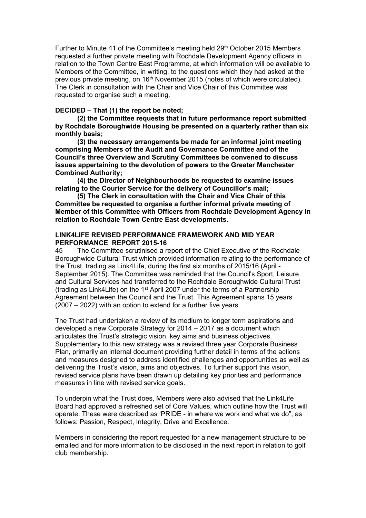Further to Minute 41 of the Committee's meeting held 29<sup>th</sup> October 2015 Members requested a further private meeting with Rochdale Development Agency officers in relation to the Town Centre East Programme, at which information will be available to Members of the Committee, in writing, to the questions which they had asked at the previous private meeting, on 16th November 2015 (notes of which were circulated). The Clerk in consultation with the Chair and Vice Chair of this Committee was requested to organise such a meeting.

## **DECIDED – That (1) the report be noted;**

**(2) the Committee requests that in future performance report submitted by Rochdale Boroughwide Housing be presented on a quarterly rather than six monthly basis;**

**(3) the necessary arrangements be made for an informal joint meeting comprising Members of the Audit and Governance Committee and of the Council's three Overview and Scrutiny Committees be convened to discuss issues appertaining to the devolution of powers to the Greater Manchester Combined Authority;**

**(4) the Director of Neighbourhoods be requested to examine issues relating to the Courier Service for the delivery of Councillor's mail;**

**(5) The Clerk in consultation with the Chair and Vice Chair of this Committee be requested to organise a further informal private meeting of Member of this Committee with Officers from Rochdale Development Agency in relation to Rochdale Town Centre East developments.**

## **LINK4LIFE REVISED PERFORMANCE FRAMEWORK AND MID YEAR PERFORMANCE REPORT 2015-16**

45 The Committee scrutinised a report of the Chief Executive of the Rochdale Boroughwide Cultural Trust which provided information relating to the performance of the Trust, trading as Link4Life, during the first six months of 2015/16 (April - September 2015). The Committee was reminded that the Council's Sport, Leisure and Cultural Services had transferred to the Rochdale Boroughwide Cultural Trust (trading as Link4Life) on the 1<sup>st</sup> April 2007 under the terms of a Partnership Agreement between the Council and the Trust. This Agreement spans 15 years (2007 – 2022) with an option to extend for a further five years.

The Trust had undertaken a review of its medium to longer term aspirations and developed a new Corporate Strategy for 2014 – 2017 as a document which articulates the Trust's strategic vision, key aims and business objectives. Supplementary to this new strategy was a revised three year Corporate Business Plan, primarily an internal document providing further detail in terms of the actions and measures designed to address identified challenges and opportunities as well as delivering the Trust's vision, aims and objectives. To further support this vision, revised service plans have been drawn up detailing key priorities and performance measures in line with revised service goals.

To underpin what the Trust does, Members were also advised that the Link4Life Board had approved a refreshed set of Core Values, which outline how the Trust will operate. These were described as 'PRIDE - in where we work and what we do", as follows: Passion, Respect, Integrity, Drive and Excellence.

Members in considering the report requested for a new management structure to be emailed and for more information to be disclosed in the next report in relation to golf club membership.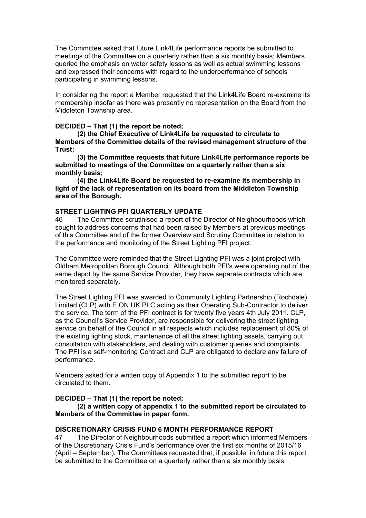The Committee asked that future Link4Life performance reports be submitted to meetings of the Committee on a quarterly rather than a six monthly basis; Members queried the emphasis on water safety lessons as well as actual swimming lessons and expressed their concerns with regard to the underperformance of schools participating in swimming lessons.

In considering the report a Member requested that the Link4Life Board re-examine its membership insofar as there was presently no representation on the Board from the Middleton Township area.

#### **DECIDED – That (1) the report be noted;**

**(2) the Chief Executive of Link4Life be requested to circulate to Members of the Committee details of the revised management structure of the Trust;**

**(3) the Committee requests that future Link4Life performance reports be submitted to meetings of the Committee on a quarterly rather than a six monthly basis;**

**(4) the Link4Life Board be requested to re-examine its membership in light of the lack of representation on its board from the Middleton Township area of the Borough.**

#### **STREET LIGHTING PFI QUARTERLY UPDATE**

46 The Committee scrutinised a report of the Director of Neighbourhoods which sought to address concerns that had been raised by Members at previous meetings of this Committee and of the former Overview and Scrutiny Committee in relation to the performance and monitoring of the Street Lighting PFI project.

The Committee were reminded that the Street Lighting PFI was a joint project with Oldham Metropolitan Borough Council. Although both PFI's were operating out of the same depot by the same Service Provider, they have separate contracts which are monitored separately.

The Street Lighting PFI was awarded to Community Lighting Partnership (Rochdale) Limited (CLP) with E.ON UK PLC acting as their Operating Sub-Contractor to deliver the service. The term of the PFI contract is for twenty five years 4th July 2011. CLP, as the Council's Service Provider, are responsible for delivering the street lighting service on behalf of the Council in all respects which includes replacement of 80% of the existing lighting stock, maintenance of all the street lighting assets, carrying out consultation with stakeholders, and dealing with customer queries and complaints. The PFI is a self-monitoring Contract and CLP are obligated to declare any failure of performance.

Members asked for a written copy of Appendix 1 to the submitted report to be circulated to them.

#### **DECIDED – That (1) the report be noted;**

**(2) a written copy of appendix 1 to the submitted report be circulated to Members of the Committee in paper form.**

#### **DISCRETIONARY CRISIS FUND 6 MONTH PERFORMANCE REPORT**

47 The Director of Neighbourhoods submitted a report which informed Members of the Discretionary Crisis Fund's performance over the first six months of 2015/16 (April – September). The Committees requested that, if possible, in future this report be submitted to the Committee on a quarterly rather than a six monthly basis.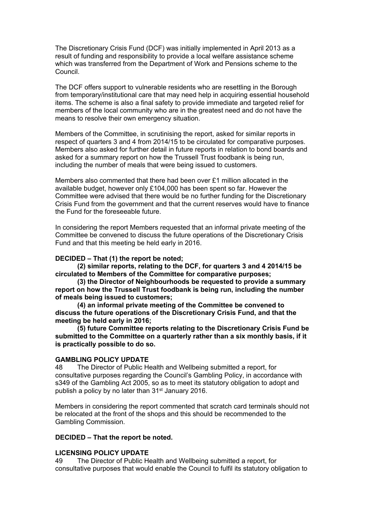The Discretionary Crisis Fund (DCF) was initially implemented in April 2013 as a result of funding and responsibility to provide a local welfare assistance scheme which was transferred from the Department of Work and Pensions scheme to the Council.

The DCF offers support to vulnerable residents who are resettling in the Borough from temporary/institutional care that may need help in acquiring essential household items. The scheme is also a final safety to provide immediate and targeted relief for members of the local community who are in the greatest need and do not have the means to resolve their own emergency situation.

Members of the Committee, in scrutinising the report, asked for similar reports in respect of quarters 3 and 4 from 2014/15 to be circulated for comparative purposes. Members also asked for further detail in future reports in relation to bond boards and asked for a summary report on how the Trussell Trust foodbank is being run, including the number of meals that were being issued to customers.

Members also commented that there had been over £1 million allocated in the available budget, however only £104,000 has been spent so far. However the Committee were advised that there would be no further funding for the Discretionary Crisis Fund from the government and that the current reserves would have to finance the Fund for the foreseeable future.

In considering the report Members requested that an informal private meeting of the Committee be convened to discuss the future operations of the Discretionary Crisis Fund and that this meeting be held early in 2016.

#### **DECIDED – That (1) the report be noted;**

**(2) similar reports, relating to the DCF, for quarters 3 and 4 2014/15 be circulated to Members of the Committee for comparative purposes;**

**(3) the Director of Neighbourhoods be requested to provide a summary report on how the Trussell Trust foodbank is being run, including the number of meals being issued to customers;**

**(4) an informal private meeting of the Committee be convened to discuss the future operations of the Discretionary Crisis Fund, and that the meeting be held early in 2016;**

**(5) future Committee reports relating to the Discretionary Crisis Fund be submitted to the Committee on a quarterly rather than a six monthly basis, if it is practically possible to do so.**

#### **GAMBLING POLICY UPDATE**

48 The Director of Public Health and Wellbeing submitted a report, for consultative purposes regarding the Council's Gambling Policy, in accordance with s349 of the Gambling Act 2005, so as to meet its statutory obligation to adopt and publish a policy by no later than 31st January 2016.

Members in considering the report commented that scratch card terminals should not be relocated at the front of the shops and this should be recommended to the Gambling Commission.

## **DECIDED – That the report be noted.**

#### **LICENSING POLICY UPDATE**

49 The Director of Public Health and Wellbeing submitted a report, for consultative purposes that would enable the Council to fulfil its statutory obligation to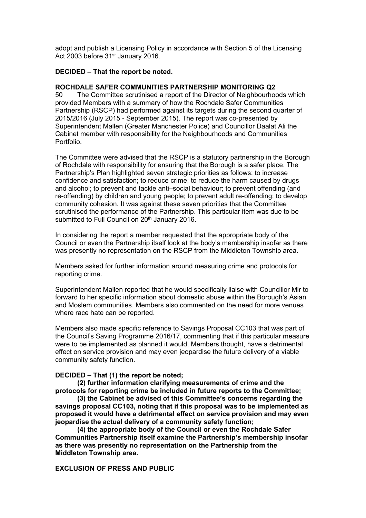adopt and publish a Licensing Policy in accordance with Section 5 of the Licensing Act 2003 before 31<sup>st</sup> January 2016.

## **DECIDED – That the report be noted.**

## **ROCHDALE SAFER COMMUNITIES PARTNERSHIP MONITORING Q2**

50 The Committee scrutinised a report of the Director of Neighbourhoods which provided Members with a summary of how the Rochdale Safer Communities Partnership (RSCP) had performed against its targets during the second quarter of 2015/2016 (July 2015 - September 2015). The report was co-presented by Superintendent Mallen (Greater Manchester Police) and Councillor Daalat Ali the Cabinet member with responsibility for the Neighbourhoods and Communities Portfolio.

The Committee were advised that the RSCP is a statutory partnership in the Borough of Rochdale with responsibility for ensuring that the Borough is a safer place. The Partnership's Plan highlighted seven strategic priorities as follows: to increase confidence and satisfaction; to reduce crime; to reduce the harm caused by drugs and alcohol; to prevent and tackle anti–social behaviour; to prevent offending (and re-offending) by children and young people; to prevent adult re-offending; to develop community cohesion. It was against these seven priorities that the Committee scrutinised the performance of the Partnership. This particular item was due to be submitted to Full Council on 20<sup>th</sup> January 2016.

In considering the report a member requested that the appropriate body of the Council or even the Partnership itself look at the body's membership insofar as there was presently no representation on the RSCP from the Middleton Township area.

Members asked for further information around measuring crime and protocols for reporting crime.

Superintendent Mallen reported that he would specifically liaise with Councillor Mir to forward to her specific information about domestic abuse within the Borough's Asian and Moslem communities. Members also commented on the need for more venues where race hate can be reported.

Members also made specific reference to Savings Proposal CC103 that was part of the Council's Saving Programme 2016/17, commenting that if this particular measure were to be implemented as planned it would, Members thought, have a detrimental effect on service provision and may even jeopardise the future delivery of a viable community safety function.

#### **DECIDED – That (1) the report be noted;**

**(2) further information clarifying measurements of crime and the protocols for reporting crime be included in future reports to the Committee;**

**(3) the Cabinet be advised of this Committee's concerns regarding the savings proposal CC103, noting that if this proposal was to be implemented as proposed it would have a detrimental effect on service provision and may even jeopardise the actual delivery of a community safety function;**

**(4) the appropriate body of the Council or even the Rochdale Safer Communities Partnership itself examine the Partnership's membership insofar as there was presently no representation on the Partnership from the Middleton Township area.**

# **EXCLUSION OF PRESS AND PUBLIC**